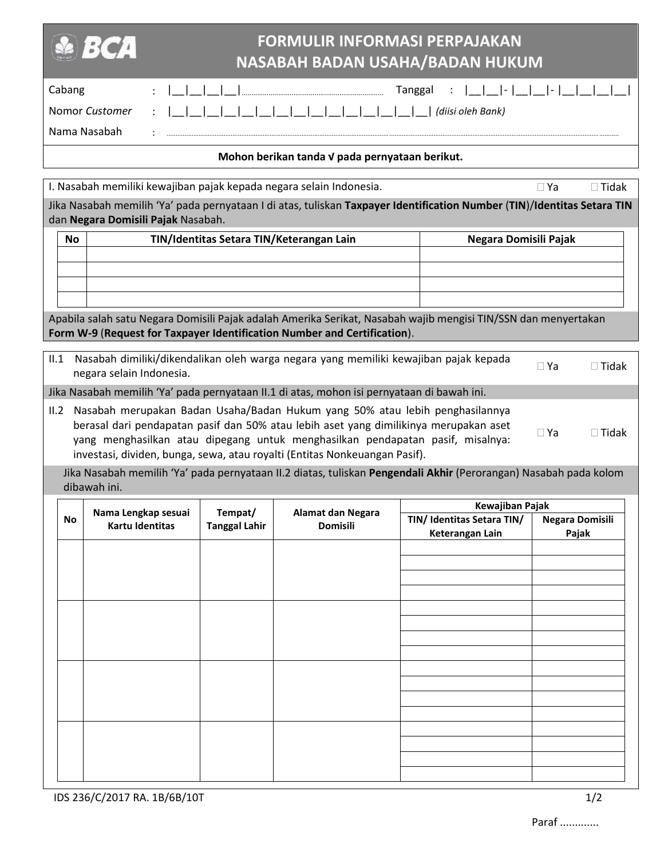| Cabang<br>Tanggal<br>Nomor Customer<br>(diisi oleh Bank)<br>Nama Nasabah<br>Mohon berikan tanda V pada pernyataan berikut.<br>I. Nasabah memiliki kewajiban pajak kepada negara selain Indonesia.<br>$\Box$ Ya<br>$\Box$ Tidak<br>Jika Nasabah memilih 'Ya' pada pernyataan I di atas, tuliskan Taxpayer Identification Number (TIN)/Identitas Setara TIN<br>dan Negara Domisili Pajak Nasabah.<br>TIN/Identitas Setara TIN/Keterangan Lain<br>Negara Domisili Pajak<br><b>No</b><br>Apabila salah satu Negara Domisili Pajak adalah Amerika Serikat, Nasabah wajib mengisi TIN/SSN dan menyertakan<br>Form W-9 (Request for Taxpayer Identification Number and Certification).<br>Nasabah dimiliki/dikendalikan oleh warga negara yang memiliki kewajiban pajak kepada<br>II.1<br>$\Box$ Ya<br>$\Box$ Tidak |
|--------------------------------------------------------------------------------------------------------------------------------------------------------------------------------------------------------------------------------------------------------------------------------------------------------------------------------------------------------------------------------------------------------------------------------------------------------------------------------------------------------------------------------------------------------------------------------------------------------------------------------------------------------------------------------------------------------------------------------------------------------------------------------------------------------------|
|                                                                                                                                                                                                                                                                                                                                                                                                                                                                                                                                                                                                                                                                                                                                                                                                              |
|                                                                                                                                                                                                                                                                                                                                                                                                                                                                                                                                                                                                                                                                                                                                                                                                              |
|                                                                                                                                                                                                                                                                                                                                                                                                                                                                                                                                                                                                                                                                                                                                                                                                              |
|                                                                                                                                                                                                                                                                                                                                                                                                                                                                                                                                                                                                                                                                                                                                                                                                              |
|                                                                                                                                                                                                                                                                                                                                                                                                                                                                                                                                                                                                                                                                                                                                                                                                              |
|                                                                                                                                                                                                                                                                                                                                                                                                                                                                                                                                                                                                                                                                                                                                                                                                              |
|                                                                                                                                                                                                                                                                                                                                                                                                                                                                                                                                                                                                                                                                                                                                                                                                              |
|                                                                                                                                                                                                                                                                                                                                                                                                                                                                                                                                                                                                                                                                                                                                                                                                              |
|                                                                                                                                                                                                                                                                                                                                                                                                                                                                                                                                                                                                                                                                                                                                                                                                              |
|                                                                                                                                                                                                                                                                                                                                                                                                                                                                                                                                                                                                                                                                                                                                                                                                              |
|                                                                                                                                                                                                                                                                                                                                                                                                                                                                                                                                                                                                                                                                                                                                                                                                              |
| negara selain Indonesia.                                                                                                                                                                                                                                                                                                                                                                                                                                                                                                                                                                                                                                                                                                                                                                                     |
| Jika Nasabah memilih 'Ya' pada pernyataan II.1 di atas, mohon isi pernyataan di bawah ini.                                                                                                                                                                                                                                                                                                                                                                                                                                                                                                                                                                                                                                                                                                                   |
| Nasabah merupakan Badan Usaha/Badan Hukum yang 50% atau lebih penghasilannya<br>II.2<br>berasal dari pendapatan pasif dan 50% atau lebih aset yang dimilikinya merupakan aset<br>$\Box$ Ya<br>$\Box$ Tidak<br>yang menghasilkan atau dipegang untuk menghasilkan pendapatan pasif, misalnya:<br>investasi, dividen, bunga, sewa, atau royalti (Entitas Nonkeuangan Pasif).                                                                                                                                                                                                                                                                                                                                                                                                                                   |
| Jika Nasabah memilih 'Ya' pada pernyataan II.2 diatas, tuliskan Pengendali Akhir (Perorangan) Nasabah pada kolom<br>dibawah ini.                                                                                                                                                                                                                                                                                                                                                                                                                                                                                                                                                                                                                                                                             |
| Kewajiban Pajak<br>Nama Lengkap sesuai<br>Tempat/<br>Alamat dan Negara                                                                                                                                                                                                                                                                                                                                                                                                                                                                                                                                                                                                                                                                                                                                       |
| No<br>TIN/ Identitas Setara TIN/<br><b>Negara Domisili</b><br><b>Kartu Identitas</b><br><b>Domisili</b><br><b>Tanggal Lahir</b><br>Keterangan Lain<br>Pajak                                                                                                                                                                                                                                                                                                                                                                                                                                                                                                                                                                                                                                                  |
|                                                                                                                                                                                                                                                                                                                                                                                                                                                                                                                                                                                                                                                                                                                                                                                                              |
|                                                                                                                                                                                                                                                                                                                                                                                                                                                                                                                                                                                                                                                                                                                                                                                                              |
|                                                                                                                                                                                                                                                                                                                                                                                                                                                                                                                                                                                                                                                                                                                                                                                                              |
|                                                                                                                                                                                                                                                                                                                                                                                                                                                                                                                                                                                                                                                                                                                                                                                                              |
|                                                                                                                                                                                                                                                                                                                                                                                                                                                                                                                                                                                                                                                                                                                                                                                                              |
|                                                                                                                                                                                                                                                                                                                                                                                                                                                                                                                                                                                                                                                                                                                                                                                                              |
|                                                                                                                                                                                                                                                                                                                                                                                                                                                                                                                                                                                                                                                                                                                                                                                                              |
|                                                                                                                                                                                                                                                                                                                                                                                                                                                                                                                                                                                                                                                                                                                                                                                                              |
|                                                                                                                                                                                                                                                                                                                                                                                                                                                                                                                                                                                                                                                                                                                                                                                                              |
|                                                                                                                                                                                                                                                                                                                                                                                                                                                                                                                                                                                                                                                                                                                                                                                                              |
|                                                                                                                                                                                                                                                                                                                                                                                                                                                                                                                                                                                                                                                                                                                                                                                                              |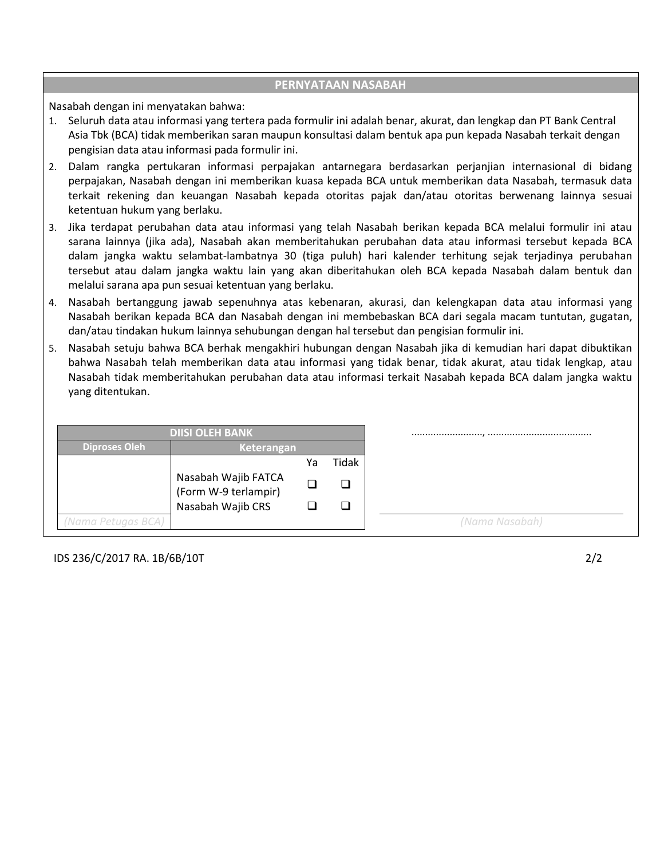## **PERNYATAAN NASABAH**

Nasabah dengan ini menyatakan bahwa:

- 1. Seluruh data atau informasi yang tertera pada formulir ini adalah benar, akurat, dan lengkap dan PT Bank Central Asia Tbk (BCA) tidak memberikan saran maupun konsultasi dalam bentuk apa pun kepada Nasabah terkait dengan pengisian data atau informasi pada formulir ini.
- 2. Dalam rangka pertukaran informasi perpajakan antarnegara berdasarkan perjanjian internasional di bidang perpajakan, Nasabah dengan ini memberikan kuasa kepada BCA untuk memberikan data Nasabah, termasuk data terkait rekening dan keuangan Nasabah kepada otoritas pajak dan/atau otoritas berwenang lainnya sesuai ketentuan hukum yang berlaku.
- 3. Jika terdapat perubahan data atau informasi yang telah Nasabah berikan kepada BCA melalui formulir ini atau sarana lainnya (jika ada), Nasabah akan memberitahukan perubahan data atau informasi tersebut kepada BCA dalam jangka waktu selambat-lambatnya 30 (tiga puluh) hari kalender terhitung sejak terjadinya perubahan tersebut atau dalam jangka waktu lain yang akan diberitahukan oleh BCA kepada Nasabah dalam bentuk dan melalui sarana apa pun sesuai ketentuan yang berlaku.
- 4. Nasabah bertanggung jawab sepenuhnya atas kebenaran, akurasi, dan kelengkapan data atau informasi yang Nasabah berikan kepada BCA dan Nasabah dengan ini membebaskan BCA dari segala macam tuntutan, gugatan, dan/atau tindakan hukum lainnya sehubungan dengan hal tersebut dan pengisian formulir ini.
- 5. Nasabah setuju bahwa BCA berhak mengakhiri hubungan dengan Nasabah jika di kemudian hari dapat dibuktikan bahwa Nasabah telah memberikan data atau informasi yang tidak benar, tidak akurat, atau tidak lengkap, atau Nasabah tidak memberitahukan perubahan data atau informasi terkait Nasabah kepada BCA dalam jangka waktu yang ditentukan.

|                      | <b>DIISI OLEH BANK</b>                      |    |       |
|----------------------|---------------------------------------------|----|-------|
| <b>Diproses Oleh</b> | Keterangan                                  |    |       |
|                      |                                             | Ya | Tidak |
|                      | Nasabah Wajib FATCA<br>(Form W-9 terlampir) |    | ⊔     |
|                      | Nasabah Wajib CRS                           |    | ப     |
| (Nama Petugas BCA)   |                                             |    |       |

IDS 236/C/2017 RA. 1B/6B/10T 2/2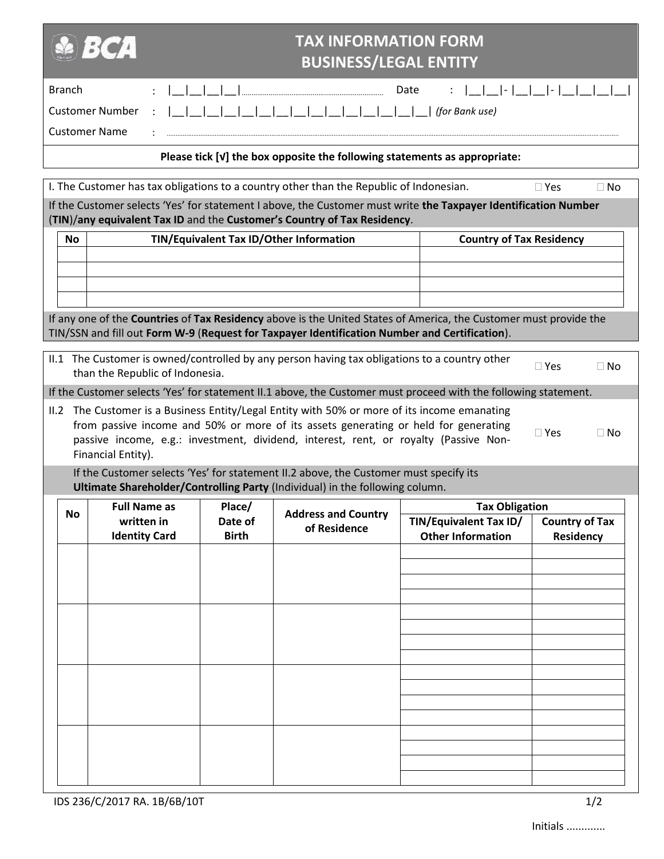|               | ВСД                             |              | <b>TAX INFORMATION FORM</b>                                                                                                                                                 |                                                                                                                   |                                 |
|---------------|---------------------------------|--------------|-----------------------------------------------------------------------------------------------------------------------------------------------------------------------------|-------------------------------------------------------------------------------------------------------------------|---------------------------------|
|               |                                 |              | <b>BUSINESS/LEGAL ENTITY</b>                                                                                                                                                |                                                                                                                   |                                 |
| <b>Branch</b> |                                 |              |                                                                                                                                                                             | Date                                                                                                              | $\lceil -   \_   \_   -   \_  $ |
|               | <b>Customer Number</b>          |              |                                                                                                                                                                             | (for Bank use)                                                                                                    |                                 |
|               | <b>Customer Name</b>            |              |                                                                                                                                                                             |                                                                                                                   |                                 |
|               |                                 |              | Please tick [v] the box opposite the following statements as appropriate:                                                                                                   |                                                                                                                   |                                 |
|               |                                 |              | I. The Customer has tax obligations to a country other than the Republic of Indonesian.                                                                                     |                                                                                                                   | $\Box$ Yes<br>$\Box$ No         |
|               |                                 |              | (TIN)/any equivalent Tax ID and the Customer's Country of Tax Residency.                                                                                                    | If the Customer selects 'Yes' for statement I above, the Customer must write the Taxpayer Identification Number   |                                 |
| <b>No</b>     |                                 |              | TIN/Equivalent Tax ID/Other Information                                                                                                                                     | <b>Country of Tax Residency</b>                                                                                   |                                 |
|               |                                 |              |                                                                                                                                                                             |                                                                                                                   |                                 |
|               |                                 |              |                                                                                                                                                                             |                                                                                                                   |                                 |
|               |                                 |              |                                                                                                                                                                             |                                                                                                                   |                                 |
|               |                                 |              | TIN/SSN and fill out Form W-9 (Request for Taxpayer Identification Number and Certification).                                                                               | If any one of the Countries of Tax Residency above is the United States of America, the Customer must provide the |                                 |
|               | than the Republic of Indonesia. |              | II.1 The Customer is owned/controlled by any person having tax obligations to a country other                                                                               |                                                                                                                   | $\square$ Yes<br>$\Box$ No      |
|               |                                 |              |                                                                                                                                                                             | If the Customer selects 'Yes' for statement II.1 above, the Customer must proceed with the following statement.   |                                 |
|               |                                 |              | II.2 The Customer is a Business Entity/Legal Entity with 50% or more of its income emanating                                                                                |                                                                                                                   |                                 |
|               |                                 |              | from passive income and 50% or more of its assets generating or held for generating<br>passive income, e.g.: investment, dividend, interest, rent, or royalty (Passive Non- |                                                                                                                   | $\square$ Yes<br>$\Box$ No      |
|               | Financial Entity).              |              |                                                                                                                                                                             |                                                                                                                   |                                 |
|               |                                 |              | If the Customer selects 'Yes' for statement II.2 above, the Customer must specify its                                                                                       |                                                                                                                   |                                 |
|               | <b>Full Name as</b>             | $ $ Place/   | Ultimate Shareholder/Controlling Party (Individual) in the following column.                                                                                                | <b>Tax Obligation</b>                                                                                             |                                 |
| <b>No</b>     | written in                      | Date of      | <b>Address and Country</b><br>of Residence                                                                                                                                  | TIN/Equivalent Tax ID/                                                                                            | <b>Country of Tax</b>           |
|               | <b>Identity Card</b>            | <b>Birth</b> |                                                                                                                                                                             | <b>Other Information</b>                                                                                          | Residency                       |
|               |                                 |              |                                                                                                                                                                             |                                                                                                                   |                                 |
|               |                                 |              |                                                                                                                                                                             |                                                                                                                   |                                 |
|               |                                 |              |                                                                                                                                                                             |                                                                                                                   |                                 |
|               |                                 |              |                                                                                                                                                                             |                                                                                                                   |                                 |
|               |                                 |              |                                                                                                                                                                             |                                                                                                                   |                                 |
|               |                                 |              |                                                                                                                                                                             |                                                                                                                   |                                 |
|               |                                 |              |                                                                                                                                                                             |                                                                                                                   |                                 |
|               |                                 |              |                                                                                                                                                                             |                                                                                                                   |                                 |
|               |                                 |              |                                                                                                                                                                             |                                                                                                                   |                                 |
|               |                                 |              |                                                                                                                                                                             |                                                                                                                   |                                 |
|               |                                 |              |                                                                                                                                                                             |                                                                                                                   |                                 |
|               |                                 |              |                                                                                                                                                                             |                                                                                                                   |                                 |

IDS 236/C/2017 RA. 1B/6B/10T 1/2